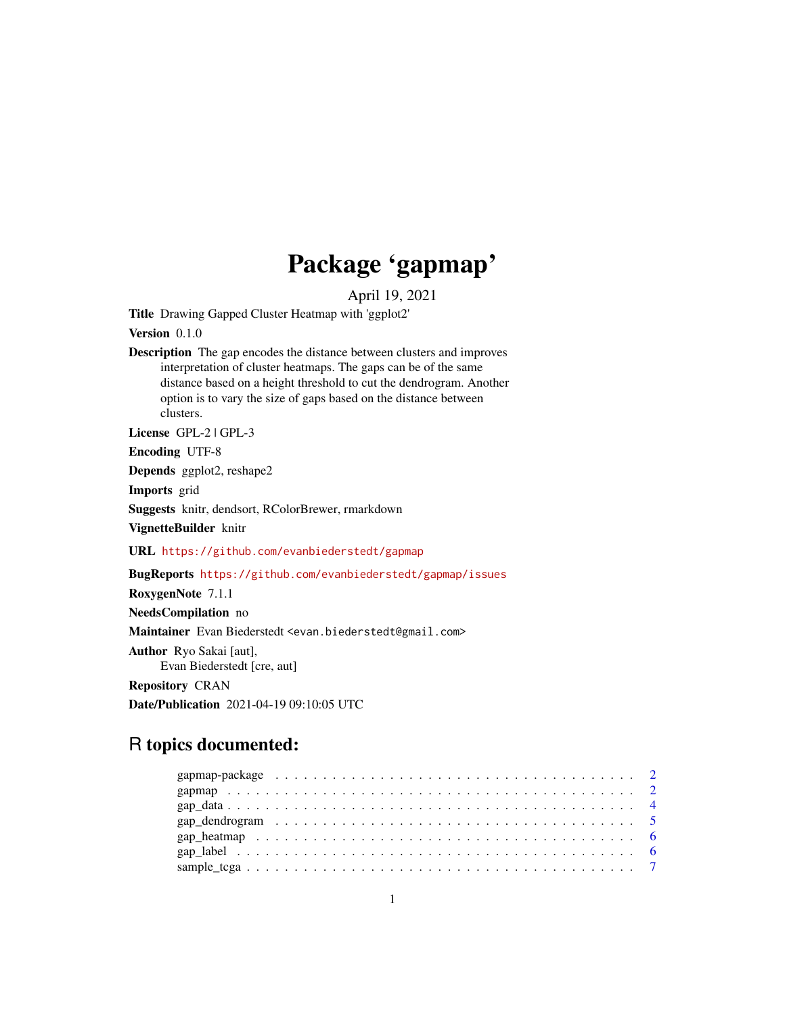# Package 'gapmap'

April 19, 2021

<span id="page-0-0"></span>Title Drawing Gapped Cluster Heatmap with 'ggplot2'

Version 0.1.0

Description The gap encodes the distance between clusters and improves interpretation of cluster heatmaps. The gaps can be of the same distance based on a height threshold to cut the dendrogram. Another option is to vary the size of gaps based on the distance between clusters.

License GPL-2 | GPL-3

Encoding UTF-8

Depends ggplot2, reshape2

Imports grid

Suggests knitr, dendsort, RColorBrewer, rmarkdown

VignetteBuilder knitr

URL <https://github.com/evanbiederstedt/gapmap>

BugReports <https://github.com/evanbiederstedt/gapmap/issues>

RoxygenNote 7.1.1

NeedsCompilation no

Maintainer Evan Biederstedt <evan.biederstedt@gmail.com>

Author Ryo Sakai [aut],

Evan Biederstedt [cre, aut]

Repository CRAN

Date/Publication 2021-04-19 09:10:05 UTC

# R topics documented: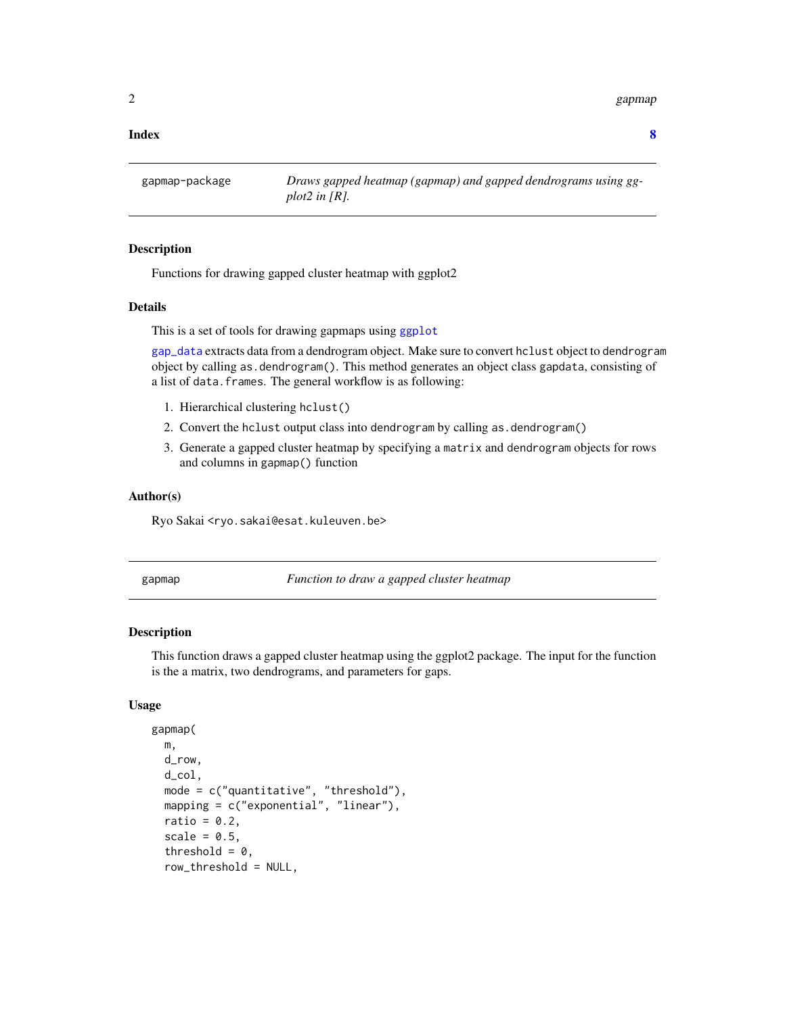<span id="page-1-0"></span>2 gapmap and the set of the set of the set of the set of the set of the set of the set of the set of the set of the set of the set of the set of the set of the set of the set of the set of the set of the set of the set of

### **Index** [8](#page-7-0) **8**

gapmap-package *Draws gapped heatmap (gapmap) and gapped dendrograms using ggplot2 in [R].*

# Description

Functions for drawing gapped cluster heatmap with ggplot2

### Details

This is a set of tools for drawing gapmaps using [ggplot](#page-0-0)

[gap\\_data](#page-3-1) extracts data from a dendrogram object. Make sure to convert hclust object to dendrogram object by calling as.dendrogram(). This method generates an object class gapdata, consisting of a list of data.frames. The general workflow is as following:

- 1. Hierarchical clustering hclust()
- 2. Convert the hclust output class into dendrogram by calling as.dendrogram()
- 3. Generate a gapped cluster heatmap by specifying a matrix and dendrogram objects for rows and columns in gapmap() function

# Author(s)

Ryo Sakai <ryo.sakai@esat.kuleuven.be>

gapmap *Function to draw a gapped cluster heatmap*

# Description

This function draws a gapped cluster heatmap using the ggplot2 package. The input for the function is the a matrix, two dendrograms, and parameters for gaps.

# Usage

```
gapmap(
 m,
  d_row,
  d_col,
 mode = c("quantitative", "threshold"),
 mapping = c("exponential", "linear"),
  ratio = 0.2,
  scale = 0.5,
  threshold = 0,
  row_threshold = NULL,
```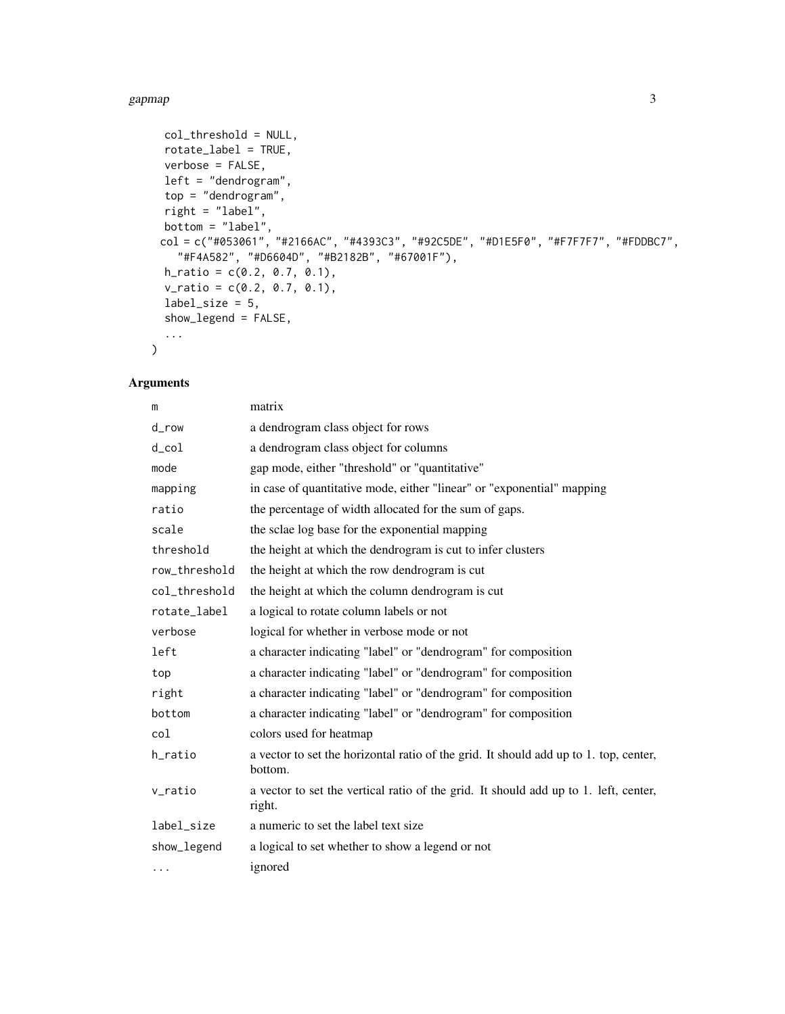# gapmap 3

```
col_threshold = NULL,
  rotate_label = TRUE,
  verbose = FALSE,
  left = "dendrogram",
  top = "dendrogram",
  right = "label",
  bottom = "label",
  col = c("#053061", "#2166AC", "#4393C3", "#92C5DE", "#D1E5F0", "#F7F7F7", "#FDDBC7",
    "#F4A582", "#D6604D", "#B2182B", "#67001F"),
  h_{ratio} = c(0.2, 0.7, 0.1),v_{\text{0}} v_ratio = c(0.2, 0.7, 0.1),
  label\_size = 5,
  show_legend = FALSE,
  ...
\lambda
```
# Arguments

| m               | matrix                                                                                           |
|-----------------|--------------------------------------------------------------------------------------------------|
| d_row           | a dendrogram class object for rows                                                               |
| $d_{\rm c}$ col | a dendrogram class object for columns                                                            |
| mode            | gap mode, either "threshold" or "quantitative"                                                   |
| mapping         | in case of quantitative mode, either "linear" or "exponential" mapping                           |
| ratio           | the percentage of width allocated for the sum of gaps.                                           |
| scale           | the sclae log base for the exponential mapping                                                   |
| threshold       | the height at which the dendrogram is cut to infer clusters                                      |
| row_threshold   | the height at which the row dendrogram is cut                                                    |
| col_threshold   | the height at which the column dendrogram is cut                                                 |
| rotate_label    | a logical to rotate column labels or not                                                         |
| verbose         | logical for whether in verbose mode or not                                                       |
| left            | a character indicating "label" or "dendrogram" for composition                                   |
| top             | a character indicating "label" or "dendrogram" for composition                                   |
| right           | a character indicating "label" or "dendrogram" for composition                                   |
| bottom          | a character indicating "label" or "dendrogram" for composition                                   |
| col             | colors used for heatmap                                                                          |
| h_ratio         | a vector to set the horizontal ratio of the grid. It should add up to 1. top, center,<br>bottom. |
| v_ratio         | a vector to set the vertical ratio of the grid. It should add up to 1. left, center,<br>right.   |
| label_size      | a numeric to set the label text size                                                             |
| show_legend     | a logical to set whether to show a legend or not                                                 |
| $\cdots$        | ignored                                                                                          |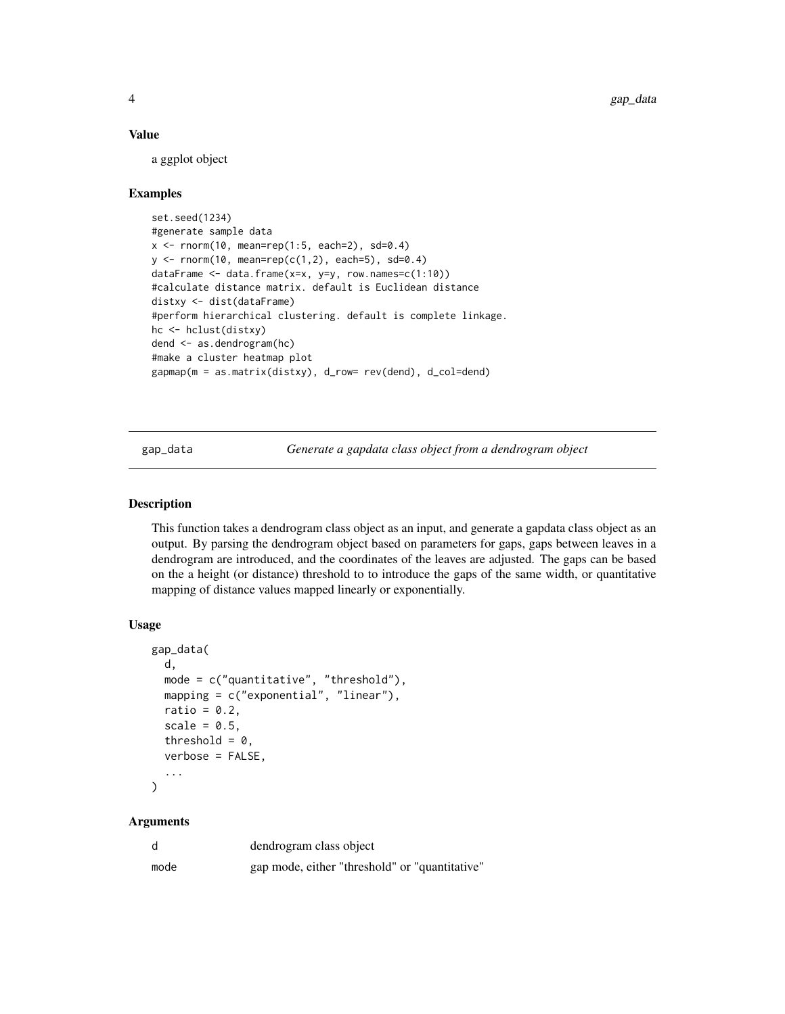# <span id="page-3-0"></span>Value

a ggplot object

# Examples

```
set.seed(1234)
#generate sample data
x \le - rnorm(10, mean=rep(1:5, each=2), sd=0.4)
y \le - rnorm(10, mean=rep(c(1,2), each=5), sd=0.4)
dataFrame <- data.frame(x=x, y=y, row.names=c(1:10))
#calculate distance matrix. default is Euclidean distance
distxy <- dist(dataFrame)
#perform hierarchical clustering. default is complete linkage.
hc <- hclust(distxy)
dend <- as.dendrogram(hc)
#make a cluster heatmap plot
gapmap(m = as.matrix(distxy), d_row= rev(dend), d_col=dend)
```
<span id="page-3-1"></span>gap\_data *Generate a gapdata class object from a dendrogram object*

# **Description**

This function takes a dendrogram class object as an input, and generate a gapdata class object as an output. By parsing the dendrogram object based on parameters for gaps, gaps between leaves in a dendrogram are introduced, and the coordinates of the leaves are adjusted. The gaps can be based on the a height (or distance) threshold to to introduce the gaps of the same width, or quantitative mapping of distance values mapped linearly or exponentially.

## Usage

```
gap_data(
 d,
 mode = c("quantitative", "threshold"),
 mapping = c("exponential", "linear"),
  ratio = 0.2,
  scale = 0.5,
  threshold = 0,
  verbose = FALSE,
  ...
)
```
# Arguments

| d    | dendrogram class object                        |
|------|------------------------------------------------|
| mode | gap mode, either "threshold" or "quantitative" |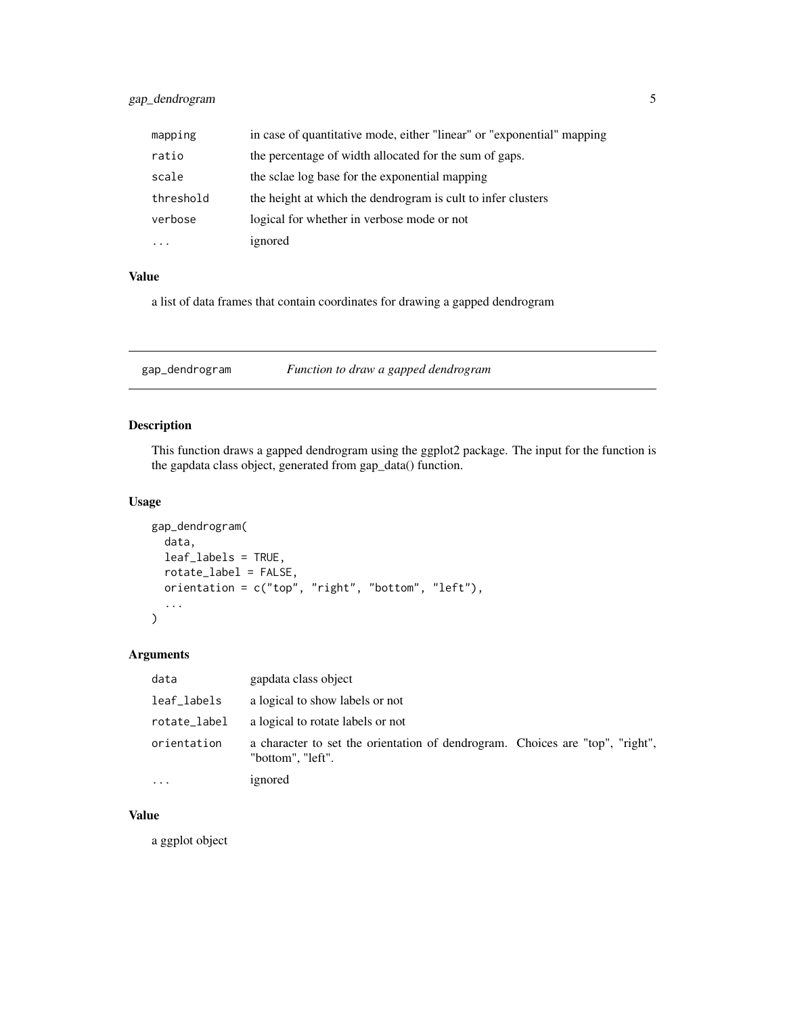<span id="page-4-0"></span>

| mapping   | in case of quantitative mode, either "linear" or "exponential" mapping |
|-----------|------------------------------------------------------------------------|
| ratio     | the percentage of width allocated for the sum of gaps.                 |
| scale     | the sclae log base for the exponential mapping                         |
| threshold | the height at which the dendrogram is cult to infer clusters           |
| verbose   | logical for whether in verbose mode or not                             |
|           | ignored                                                                |

# Value

a list of data frames that contain coordinates for drawing a gapped dendrogram

gap\_dendrogram *Function to draw a gapped dendrogram*

# Description

This function draws a gapped dendrogram using the ggplot2 package. The input for the function is the gapdata class object, generated from gap\_data() function.

# Usage

```
gap_dendrogram(
  data,
  leaf_labels = TRUE,
  rotate_label = FALSE,
  orientation = c("top", "right", "bottom", "left"),
  ...
\mathcal{L}
```
# Arguments

| data         | gapdata class object                                                                               |
|--------------|----------------------------------------------------------------------------------------------------|
| leaf_labels  | a logical to show labels or not                                                                    |
| rotate_label | a logical to rotate labels or not                                                                  |
| orientation  | a character to set the orientation of dendrogram. Choices are "top", "right",<br>"bottom", "left". |
|              | ignored                                                                                            |

# Value

a ggplot object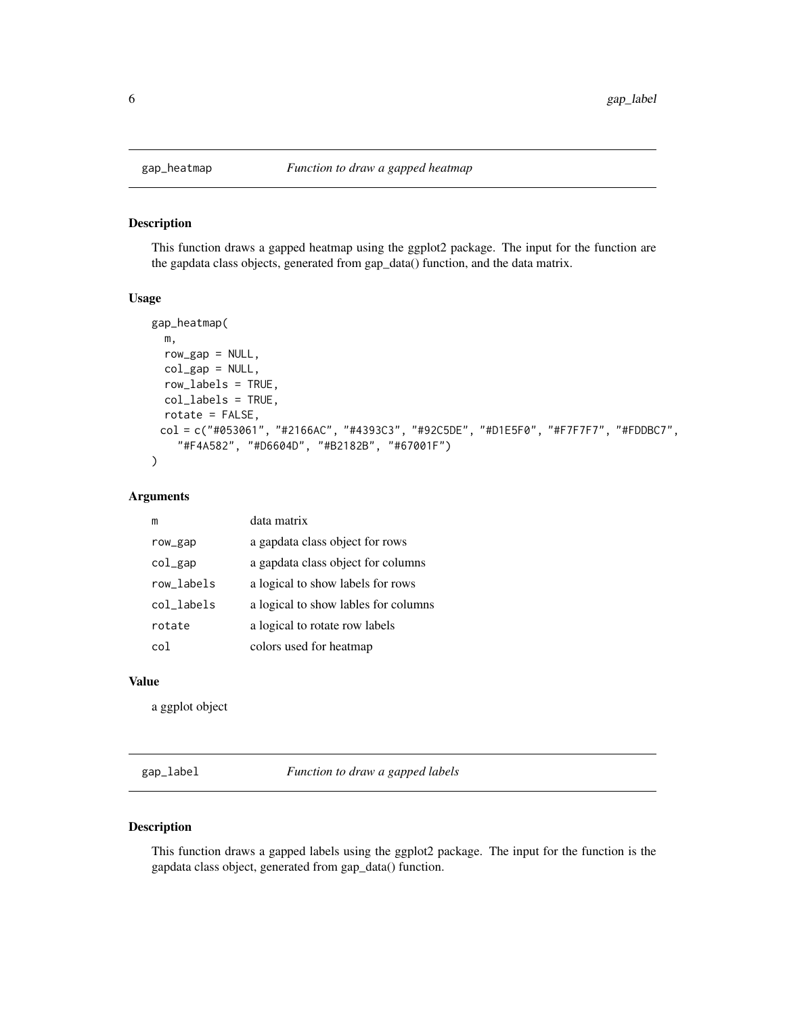# Description

This function draws a gapped heatmap using the ggplot2 package. The input for the function are the gapdata class objects, generated from gap\_data() function, and the data matrix.

# Usage

```
gap_heatmap(
 m,
 row\_gap = NULL,col\_gap = NULL,row_labels = TRUE,
 col_labels = TRUE,
 rotate = FALSE,
 col = c("#053061", "#2166AC", "#4393C3", "#92C5DE", "#D1E5F0", "#F7F7F7", "#FDDBC7",
    "#F4A582", "#D6604D", "#B2182B", "#67001F")
)
```
# Arguments

| m               | data matrix                          |
|-----------------|--------------------------------------|
| row_gap         | a gapdata class object for rows      |
| $col\_gap$      | a gapdata class object for columns   |
| row labels      | a logical to show labels for rows    |
| col labels      | a logical to show lables for columns |
| rotate          | a logical to rotate row labels       |
| co <sub>1</sub> | colors used for heatmap              |

# Value

a ggplot object

gap\_label *Function to draw a gapped labels*

# Description

This function draws a gapped labels using the ggplot2 package. The input for the function is the gapdata class object, generated from gap\_data() function.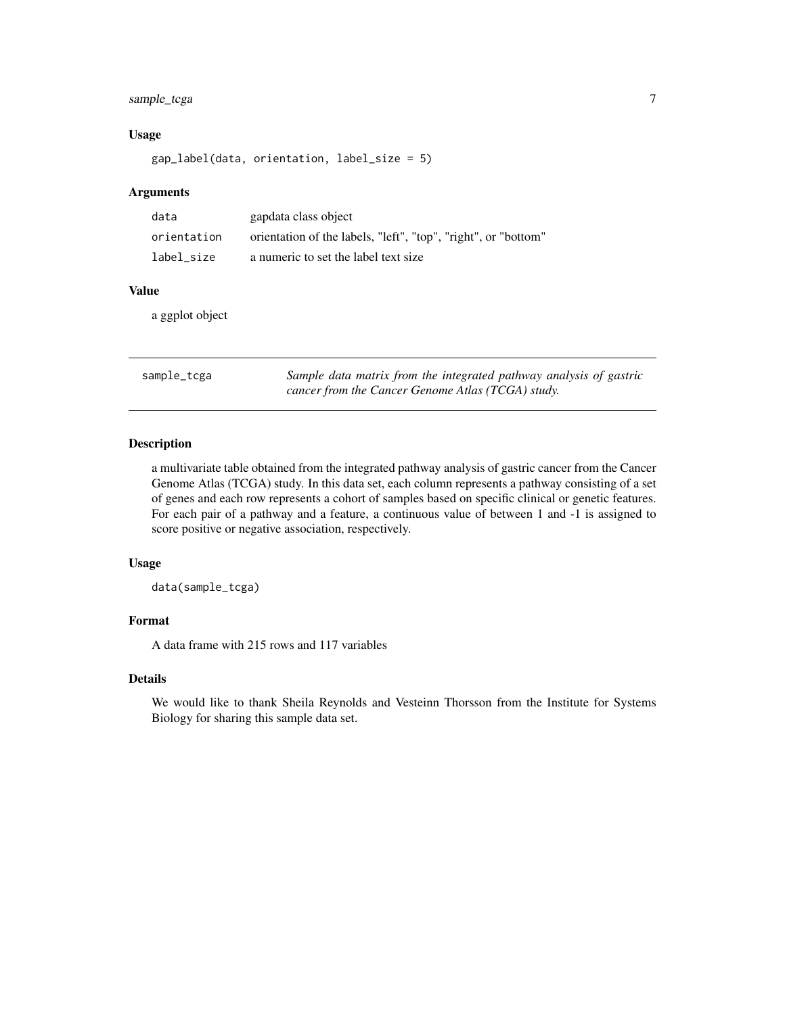# <span id="page-6-0"></span>sample\_tcga 7

# Usage

gap\_label(data, orientation, label\_size = 5)

# Arguments

| data        | gapdata class object                                           |
|-------------|----------------------------------------------------------------|
| orientation | orientation of the labels, "left", "top", "right", or "bottom" |
| label size  | a numeric to set the label text size                           |

# Value

a ggplot object

| sample_tcga | Sample data matrix from the integrated pathway analysis of gastric |
|-------------|--------------------------------------------------------------------|
|             | cancer from the Cancer Genome Atlas (TCGA) study.                  |

# Description

a multivariate table obtained from the integrated pathway analysis of gastric cancer from the Cancer Genome Atlas (TCGA) study. In this data set, each column represents a pathway consisting of a set of genes and each row represents a cohort of samples based on specific clinical or genetic features. For each pair of a pathway and a feature, a continuous value of between 1 and -1 is assigned to score positive or negative association, respectively.

# Usage

data(sample\_tcga)

# Format

A data frame with 215 rows and 117 variables

# Details

We would like to thank Sheila Reynolds and Vesteinn Thorsson from the Institute for Systems Biology for sharing this sample data set.